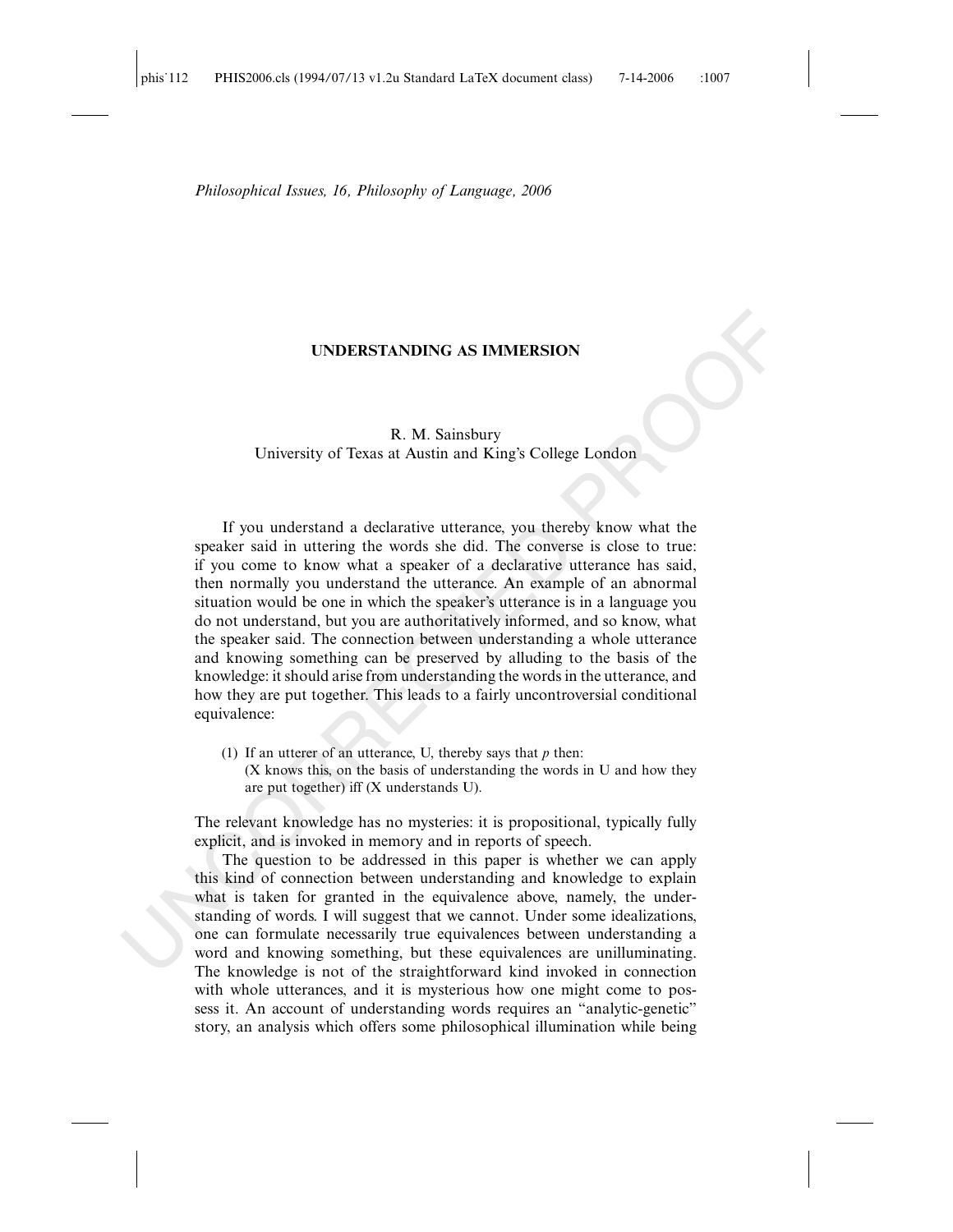*Philosophical Issues, 16, Philosophy of Language, 2006*

## **UNDERSTANDING AS IMMERSION**

# R. M. Sainsbury University of Texas at Austin and King's College London

If you understand a declarative utterance, you thereby know what the speaker said in uttering the words she did. The converse is close to true: if you come to know what a speaker of a declarative utterance has said, then normally you understand the utterance. An example of an abnormal situation would be one in which the speaker's utterance is in a language you do not understand, but you are authoritatively informed, and so know, what the speaker said. The connection between understanding a whole utterance and knowing something can be preserved by alluding to the basis of the knowledge: it should arise from understanding the words in the utterance, and how they are put together. This leads to a fairly uncontroversial conditional equivalence:

(1) If an utterer of an utterance, U, thereby says that *p* then: (X knows this, on the basis of understanding the words in U and how they are put together) iff (X understands U).

The relevant knowledge has no mysteries: it is propositional, typically fully explicit, and is invoked in memory and in reports of speech.

The question to be addressed in this paper is whether we can apply this kind of connection between understanding and knowledge to explain what is taken for granted in the equivalence above, namely, the understanding of words. I will suggest that we cannot. Under some idealizations, one can formulate necessarily true equivalences between understanding a word and knowing something, but these equivalences are unilluminating. The knowledge is not of the straightforward kind invoked in connection with whole utterances, and it is mysterious how one might come to possess it. An account of understanding words requires an "analytic-genetic" story, an analysis which offers some philosophical illumination while being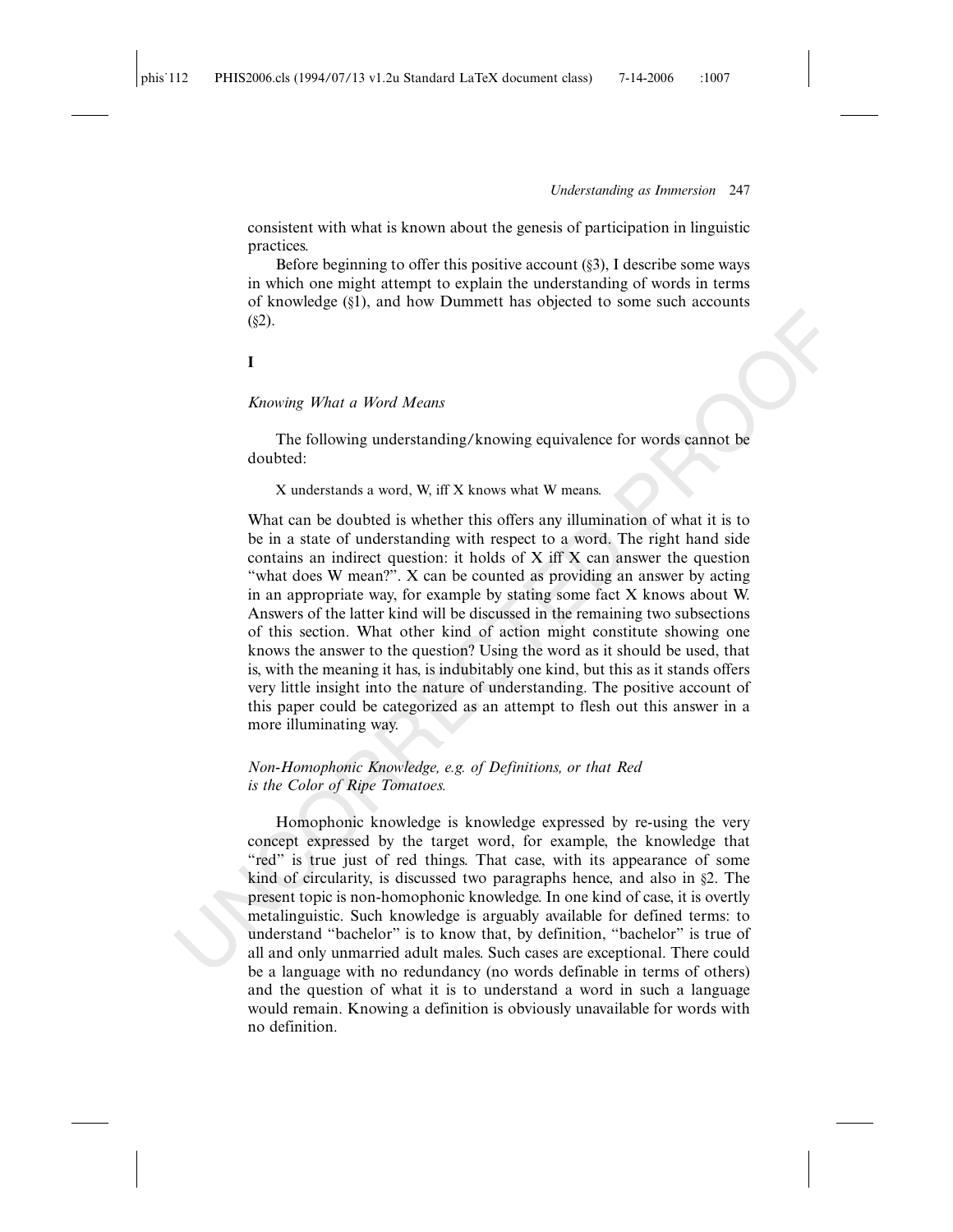consistent with what is known about the genesis of participation in linguistic practices.

Before beginning to offer this positive account (§3), I describe some ways in which one might attempt to explain the understanding of words in terms of knowledge (§1), and how Dummett has objected to some such accounts  $(S<sub>2</sub>)$ .

# **I**

### *Knowing What a Word Means*

The following understanding/knowing equivalence for words cannot be doubted:

## X understands a word, W, iff X knows what W means.

What can be doubted is whether this offers any illumination of what it is to be in a state of understanding with respect to a word. The right hand side contains an indirect question: it holds of X iff X can answer the question "what does W mean?". X can be counted as providing an answer by acting in an appropriate way, for example by stating some fact X knows about W. Answers of the latter kind will be discussed in the remaining two subsections of this section. What other kind of action might constitute showing one knows the answer to the question? Using the word as it should be used, that is, with the meaning it has, is indubitably one kind, but this as it stands offers very little insight into the nature of understanding. The positive account of this paper could be categorized as an attempt to flesh out this answer in a more illuminating way.

# *Non-Homophonic Knowledge, e.g. of Definitions, or that Red is the Color of Ripe Tomatoes.*

Homophonic knowledge is knowledge expressed by re-using the very concept expressed by the target word, for example, the knowledge that "red" is true just of red things. That case, with its appearance of some kind of circularity, is discussed two paragraphs hence, and also in §2. The present topic is non-homophonic knowledge. In one kind of case, it is overtly metalinguistic. Such knowledge is arguably available for defined terms: to understand "bachelor" is to know that, by definition, "bachelor" is true of all and only unmarried adult males. Such cases are exceptional. There could be a language with no redundancy (no words definable in terms of others) and the question of what it is to understand a word in such a language would remain. Knowing a definition is obviously unavailable for words with no definition.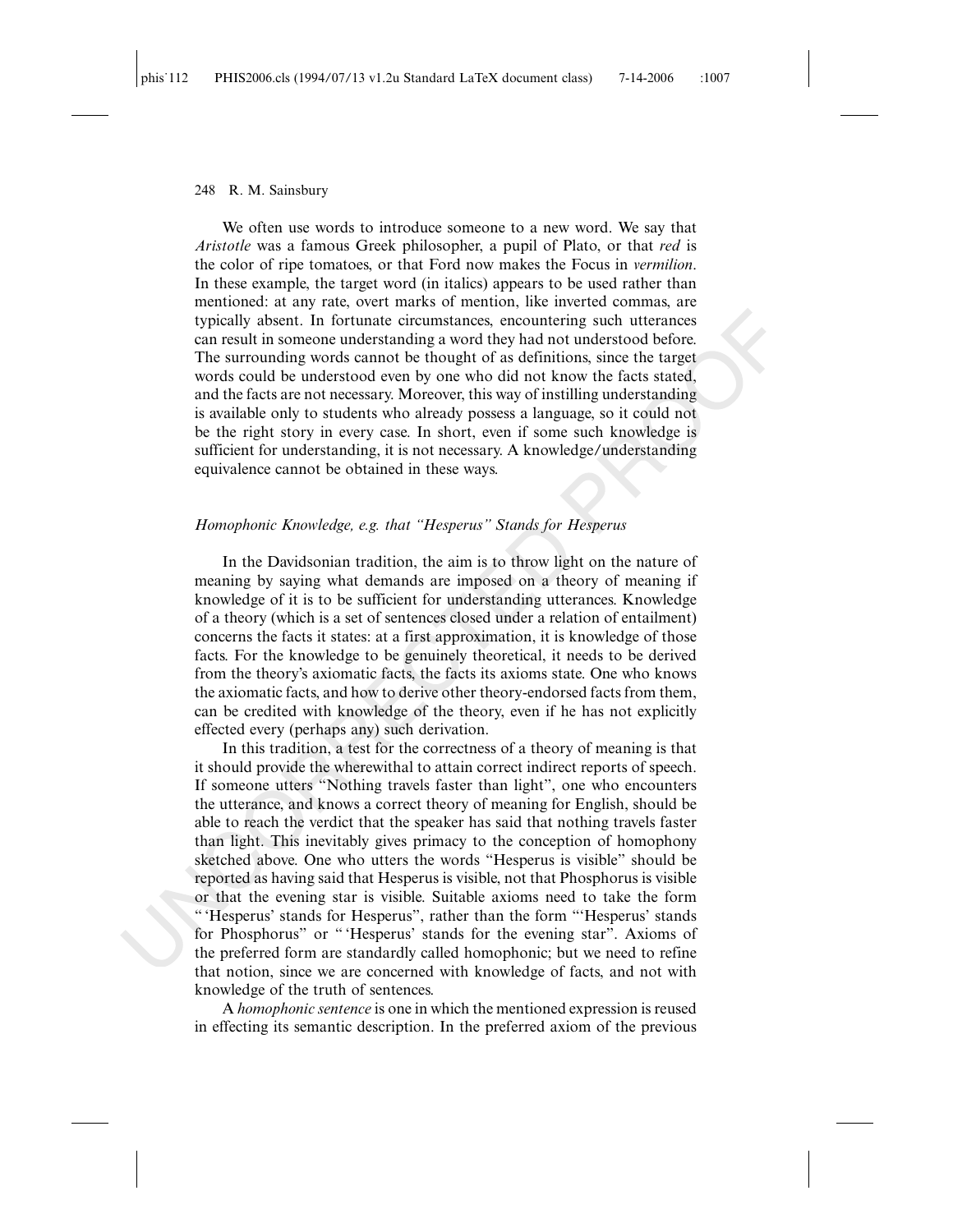We often use words to introduce someone to a new word. We say that *Aristotle* was a famous Greek philosopher, a pupil of Plato, or that *red* is the color of ripe tomatoes, or that Ford now makes the Focus in *vermilion*. In these example, the target word (in italics) appears to be used rather than mentioned: at any rate, overt marks of mention, like inverted commas, are typically absent. In fortunate circumstances, encountering such utterances can result in someone understanding a word they had not understood before. The surrounding words cannot be thought of as definitions, since the target words could be understood even by one who did not know the facts stated, and the facts are not necessary. Moreover, this way of instilling understanding is available only to students who already possess a language, so it could not be the right story in every case. In short, even if some such knowledge is sufficient for understanding, it is not necessary. A knowledge/understanding equivalence cannot be obtained in these ways.

## *Homophonic Knowledge, e.g. that "Hesperus" Stands for Hesperus*

In the Davidsonian tradition, the aim is to throw light on the nature of meaning by saying what demands are imposed on a theory of meaning if knowledge of it is to be sufficient for understanding utterances. Knowledge of a theory (which is a set of sentences closed under a relation of entailment) concerns the facts it states: at a first approximation, it is knowledge of those facts. For the knowledge to be genuinely theoretical, it needs to be derived from the theory's axiomatic facts, the facts its axioms state. One who knows the axiomatic facts, and how to derive other theory-endorsed facts from them, can be credited with knowledge of the theory, even if he has not explicitly effected every (perhaps any) such derivation.

In this tradition, a test for the correctness of a theory of meaning is that it should provide the wherewithal to attain correct indirect reports of speech. If someone utters "Nothing travels faster than light", one who encounters the utterance, and knows a correct theory of meaning for English, should be able to reach the verdict that the speaker has said that nothing travels faster than light. This inevitably gives primacy to the conception of homophony sketched above. One who utters the words "Hesperus is visible" should be reported as having said that Hesperus is visible, not that Phosphorus is visible or that the evening star is visible. Suitable axioms need to take the form " 'Hesperus' stands for Hesperus", rather than the form "'Hesperus' stands for Phosphorus" or " 'Hesperus' stands for the evening star". Axioms of the preferred form are standardly called homophonic; but we need to refine that notion, since we are concerned with knowledge of facts, and not with knowledge of the truth of sentences.

A *homophonic sentence* is one in which the mentioned expression is reused in effecting its semantic description. In the preferred axiom of the previous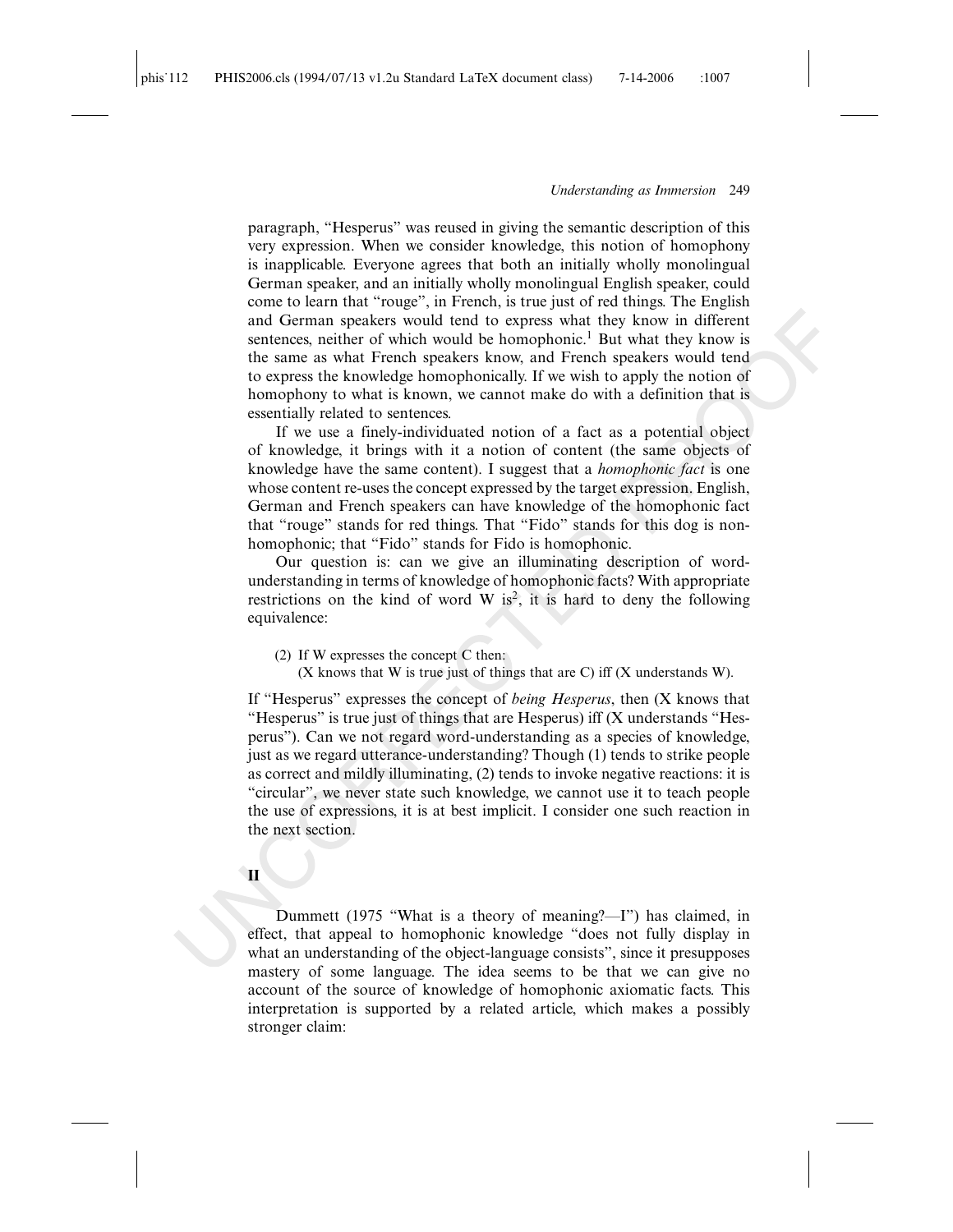paragraph, "Hesperus" was reused in giving the semantic description of this very expression. When we consider knowledge, this notion of homophony is inapplicable. Everyone agrees that both an initially wholly monolingual German speaker, and an initially wholly monolingual English speaker, could come to learn that "rouge", in French, is true just of red things. The English and German speakers would tend to express what they know in different sentences, neither of which would be homophonic.<sup>1</sup> But what they know is the same as what French speakers know, and French speakers would tend to express the knowledge homophonically. If we wish to apply the notion of homophony to what is known, we cannot make do with a definition that is essentially related to sentences.

If we use a finely-individuated notion of a fact as a potential object of knowledge, it brings with it a notion of content (the same objects of knowledge have the same content). I suggest that a *homophonic fact* is one whose content re-uses the concept expressed by the target expression. English, German and French speakers can have knowledge of the homophonic fact that "rouge" stands for red things. That "Fido" stands for this dog is nonhomophonic; that "Fido" stands for Fido is homophonic.

Our question is: can we give an illuminating description of wordunderstanding in terms of knowledge of homophonic facts? With appropriate restrictions on the kind of word W is<sup>2</sup>, it is hard to deny the following equivalence:

(2) If W expresses the concept C then:

(X knows that W is true just of things that are C) iff (X understands W).

If "Hesperus" expresses the concept of *being Hesperus*, then (X knows that "Hesperus" is true just of things that are Hesperus) iff (X understands "Hesperus"). Can we not regard word-understanding as a species of knowledge, just as we regard utterance-understanding? Though (1) tends to strike people as correct and mildly illuminating, (2) tends to invoke negative reactions: it is "circular", we never state such knowledge, we cannot use it to teach people the use of expressions, it is at best implicit. I consider one such reaction in the next section.

# **II**

Dummett (1975 "What is a theory of meaning?—I") has claimed, in effect, that appeal to homophonic knowledge "does not fully display in what an understanding of the object-language consists", since it presupposes mastery of some language. The idea seems to be that we can give no account of the source of knowledge of homophonic axiomatic facts. This interpretation is supported by a related article, which makes a possibly stronger claim: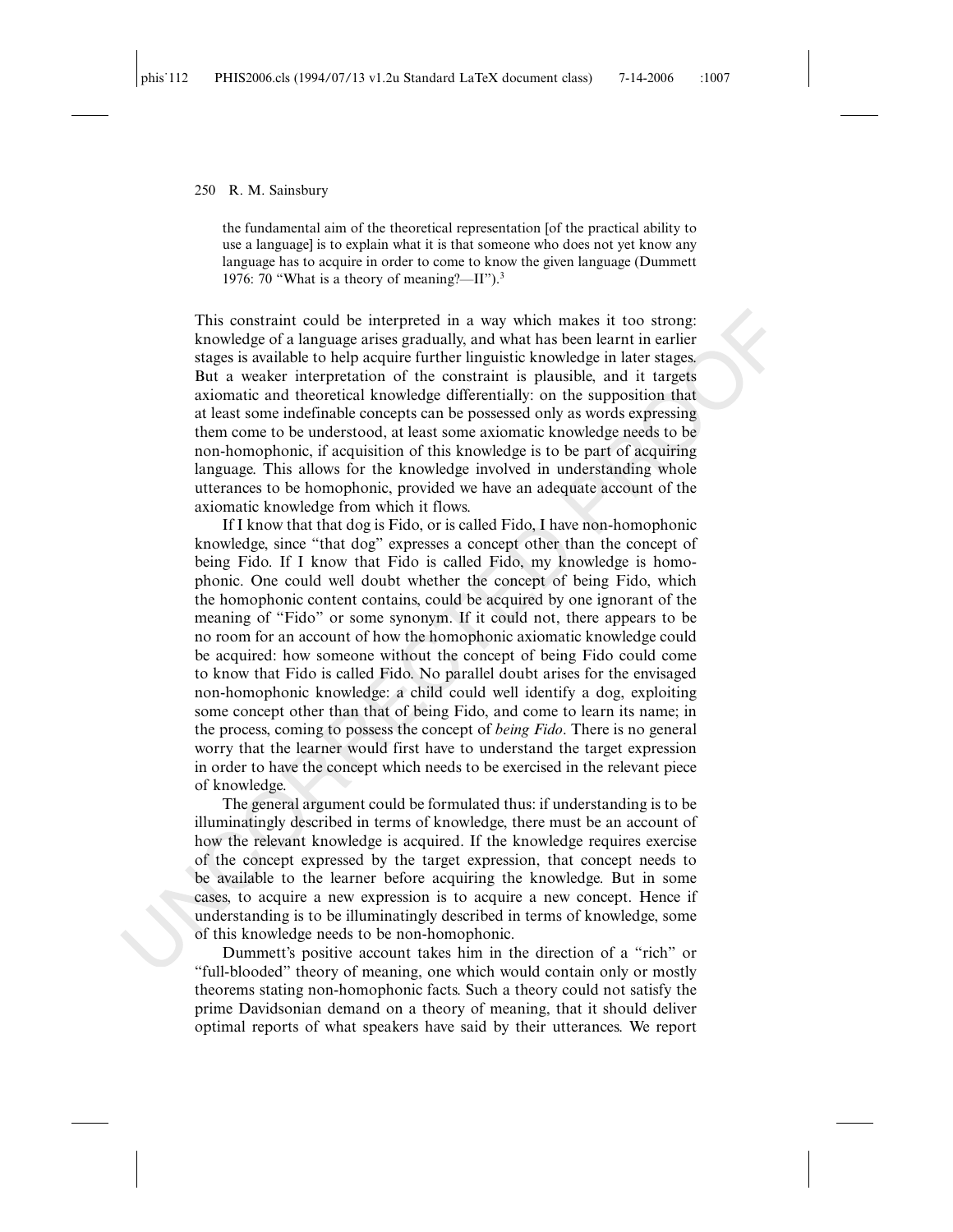the fundamental aim of the theoretical representation [of the practical ability to use a language] is to explain what it is that someone who does not yet know any language has to acquire in order to come to know the given language (Dummett 1976: 70 "What is a theory of meaning?—II").3

This constraint could be interpreted in a way which makes it too strong: knowledge of a language arises gradually, and what has been learnt in earlier stages is available to help acquire further linguistic knowledge in later stages. But a weaker interpretation of the constraint is plausible, and it targets axiomatic and theoretical knowledge differentially: on the supposition that at least some indefinable concepts can be possessed only as words expressing them come to be understood, at least some axiomatic knowledge needs to be non-homophonic, if acquisition of this knowledge is to be part of acquiring language. This allows for the knowledge involved in understanding whole utterances to be homophonic, provided we have an adequate account of the axiomatic knowledge from which it flows.

If I know that that dog is Fido, or is called Fido, I have non-homophonic knowledge, since "that dog" expresses a concept other than the concept of being Fido. If I know that Fido is called Fido, my knowledge is homophonic. One could well doubt whether the concept of being Fido, which the homophonic content contains, could be acquired by one ignorant of the meaning of "Fido" or some synonym. If it could not, there appears to be no room for an account of how the homophonic axiomatic knowledge could be acquired: how someone without the concept of being Fido could come to know that Fido is called Fido. No parallel doubt arises for the envisaged non-homophonic knowledge: a child could well identify a dog, exploiting some concept other than that of being Fido, and come to learn its name; in the process, coming to possess the concept of *being Fido*. There is no general worry that the learner would first have to understand the target expression in order to have the concept which needs to be exercised in the relevant piece of knowledge.

The general argument could be formulated thus: if understanding is to be illuminatingly described in terms of knowledge, there must be an account of how the relevant knowledge is acquired. If the knowledge requires exercise of the concept expressed by the target expression, that concept needs to be available to the learner before acquiring the knowledge. But in some cases, to acquire a new expression is to acquire a new concept. Hence if understanding is to be illuminatingly described in terms of knowledge, some of this knowledge needs to be non-homophonic.

Dummett's positive account takes him in the direction of a "rich" or "full-blooded" theory of meaning, one which would contain only or mostly theorems stating non-homophonic facts. Such a theory could not satisfy the prime Davidsonian demand on a theory of meaning, that it should deliver optimal reports of what speakers have said by their utterances. We report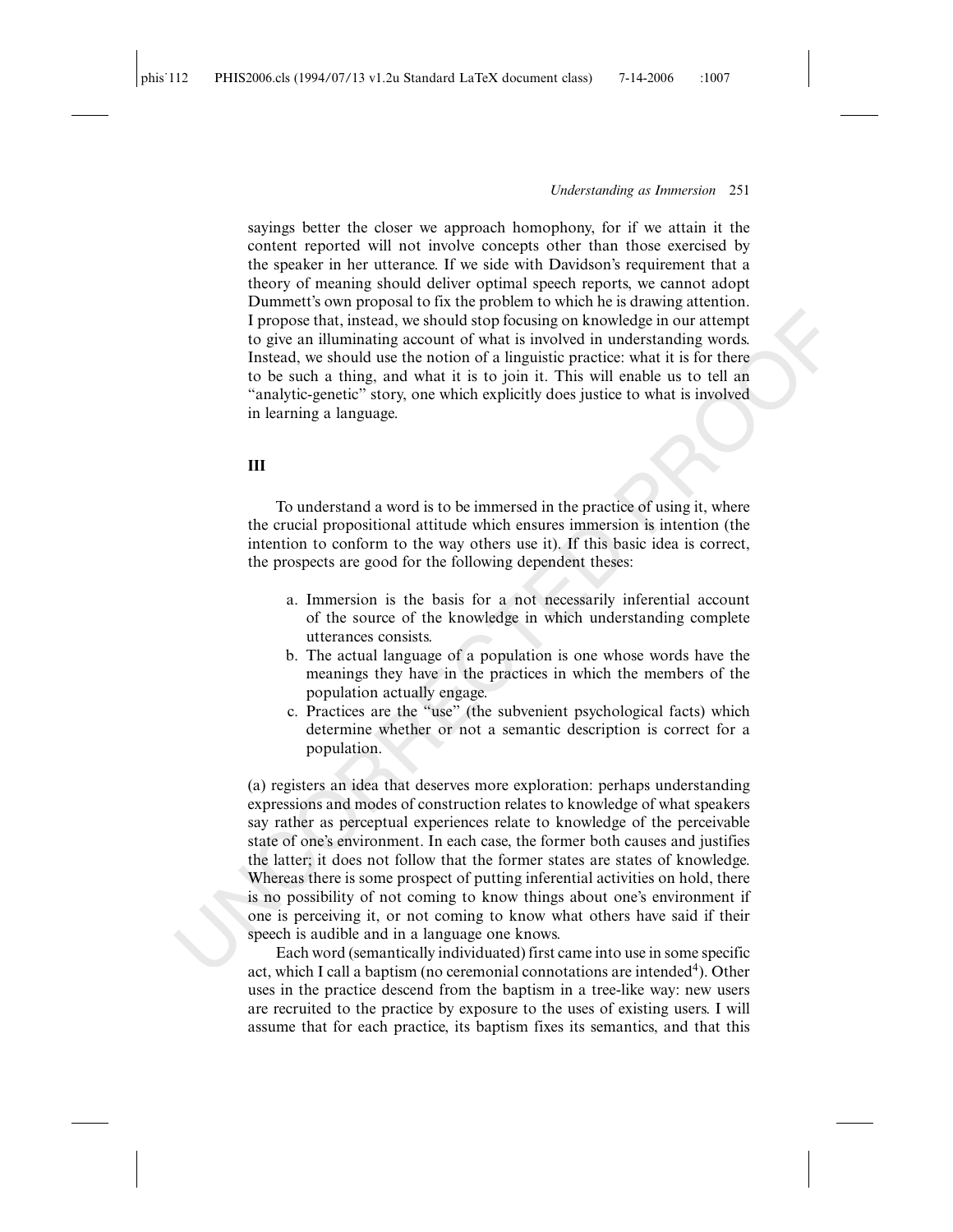sayings better the closer we approach homophony, for if we attain it the content reported will not involve concepts other than those exercised by the speaker in her utterance. If we side with Davidson's requirement that a theory of meaning should deliver optimal speech reports, we cannot adopt Dummett's own proposal to fix the problem to which he is drawing attention. I propose that, instead, we should stop focusing on knowledge in our attempt to give an illuminating account of what is involved in understanding words. Instead, we should use the notion of a linguistic practice: what it is for there to be such a thing, and what it is to join it. This will enable us to tell an "analytic-genetic" story, one which explicitly does justice to what is involved in learning a language.

# **III**

To understand a word is to be immersed in the practice of using it, where the crucial propositional attitude which ensures immersion is intention (the intention to conform to the way others use it). If this basic idea is correct, the prospects are good for the following dependent theses:

- a. Immersion is the basis for a not necessarily inferential account of the source of the knowledge in which understanding complete utterances consists.
- b. The actual language of a population is one whose words have the meanings they have in the practices in which the members of the population actually engage.
- c. Practices are the "use" (the subvenient psychological facts) which determine whether or not a semantic description is correct for a population.

(a) registers an idea that deserves more exploration: perhaps understanding expressions and modes of construction relates to knowledge of what speakers say rather as perceptual experiences relate to knowledge of the perceivable state of one's environment. In each case, the former both causes and justifies the latter; it does not follow that the former states are states of knowledge. Whereas there is some prospect of putting inferential activities on hold, there is no possibility of not coming to know things about one's environment if one is perceiving it, or not coming to know what others have said if their speech is audible and in a language one knows.

Each word (semantically individuated) first came into use in some specific act, which I call a baptism (no ceremonial connotations are intended<sup>4</sup>). Other uses in the practice descend from the baptism in a tree-like way: new users are recruited to the practice by exposure to the uses of existing users. I will assume that for each practice, its baptism fixes its semantics, and that this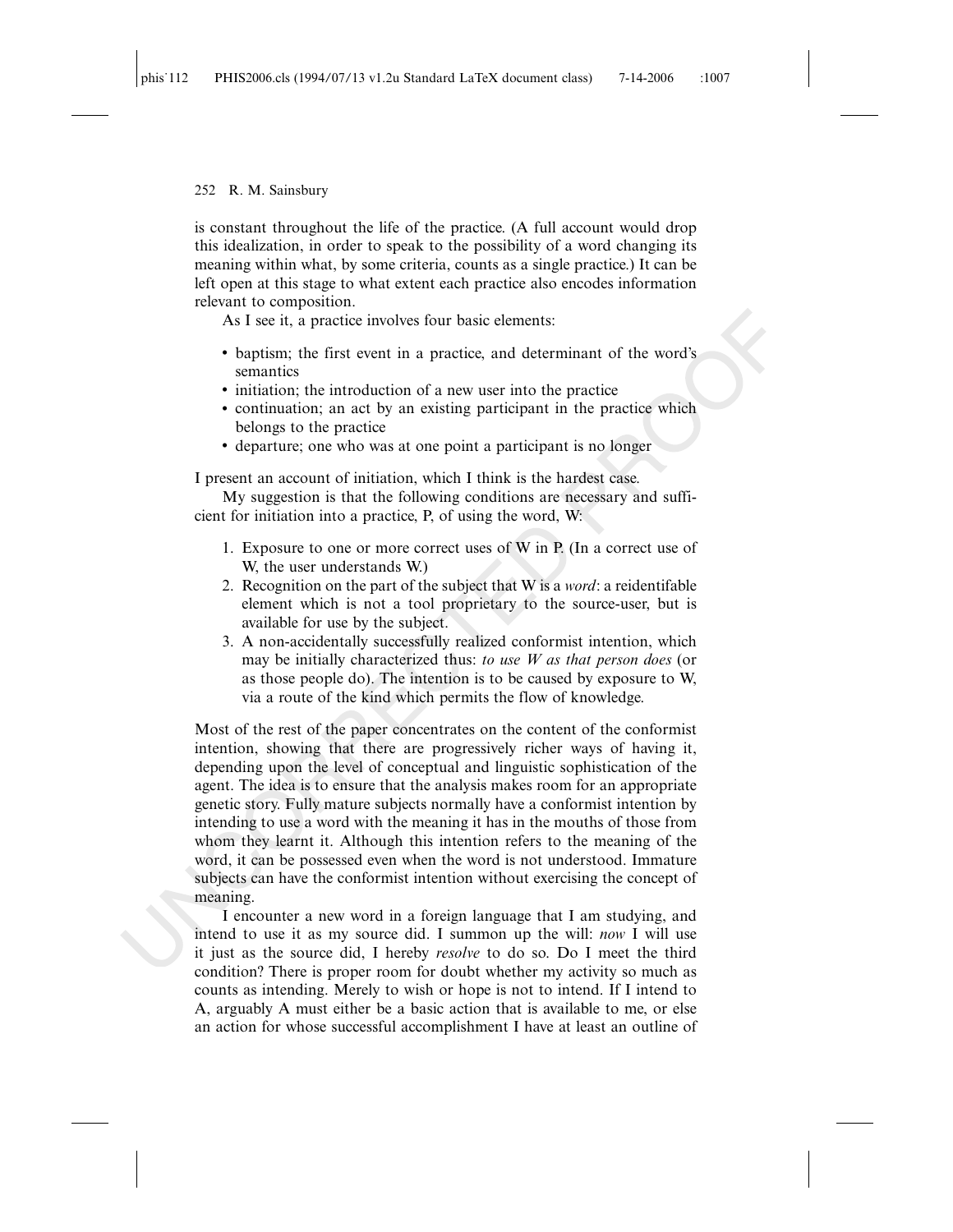is constant throughout the life of the practice. (A full account would drop this idealization, in order to speak to the possibility of a word changing its meaning within what, by some criteria, counts as a single practice.) It can be left open at this stage to what extent each practice also encodes information relevant to composition.

As I see it, a practice involves four basic elements:

- baptism; the first event in a practice, and determinant of the word's semantics
- initiation; the introduction of a new user into the practice
- continuation; an act by an existing participant in the practice which belongs to the practice
- departure; one who was at one point a participant is no longer

I present an account of initiation, which I think is the hardest case.

My suggestion is that the following conditions are necessary and sufficient for initiation into a practice, P, of using the word, W:

- 1. Exposure to one or more correct uses of W in P. (In a correct use of W, the user understands W.)
- 2. Recognition on the part of the subject that W is a *word*: a reidentifable element which is not a tool proprietary to the source-user, but is available for use by the subject.
- 3. A non-accidentally successfully realized conformist intention, which may be initially characterized thus: *to use W as that person does* (or as those people do). The intention is to be caused by exposure to W, via a route of the kind which permits the flow of knowledge.

Most of the rest of the paper concentrates on the content of the conformist intention, showing that there are progressively richer ways of having it, depending upon the level of conceptual and linguistic sophistication of the agent. The idea is to ensure that the analysis makes room for an appropriate genetic story. Fully mature subjects normally have a conformist intention by intending to use a word with the meaning it has in the mouths of those from whom they learnt it. Although this intention refers to the meaning of the word, it can be possessed even when the word is not understood. Immature subjects can have the conformist intention without exercising the concept of meaning.

I encounter a new word in a foreign language that I am studying, and intend to use it as my source did. I summon up the will: *now* I will use it just as the source did, I hereby *resolve* to do so. Do I meet the third condition? There is proper room for doubt whether my activity so much as counts as intending. Merely to wish or hope is not to intend. If I intend to A, arguably A must either be a basic action that is available to me, or else an action for whose successful accomplishment I have at least an outline of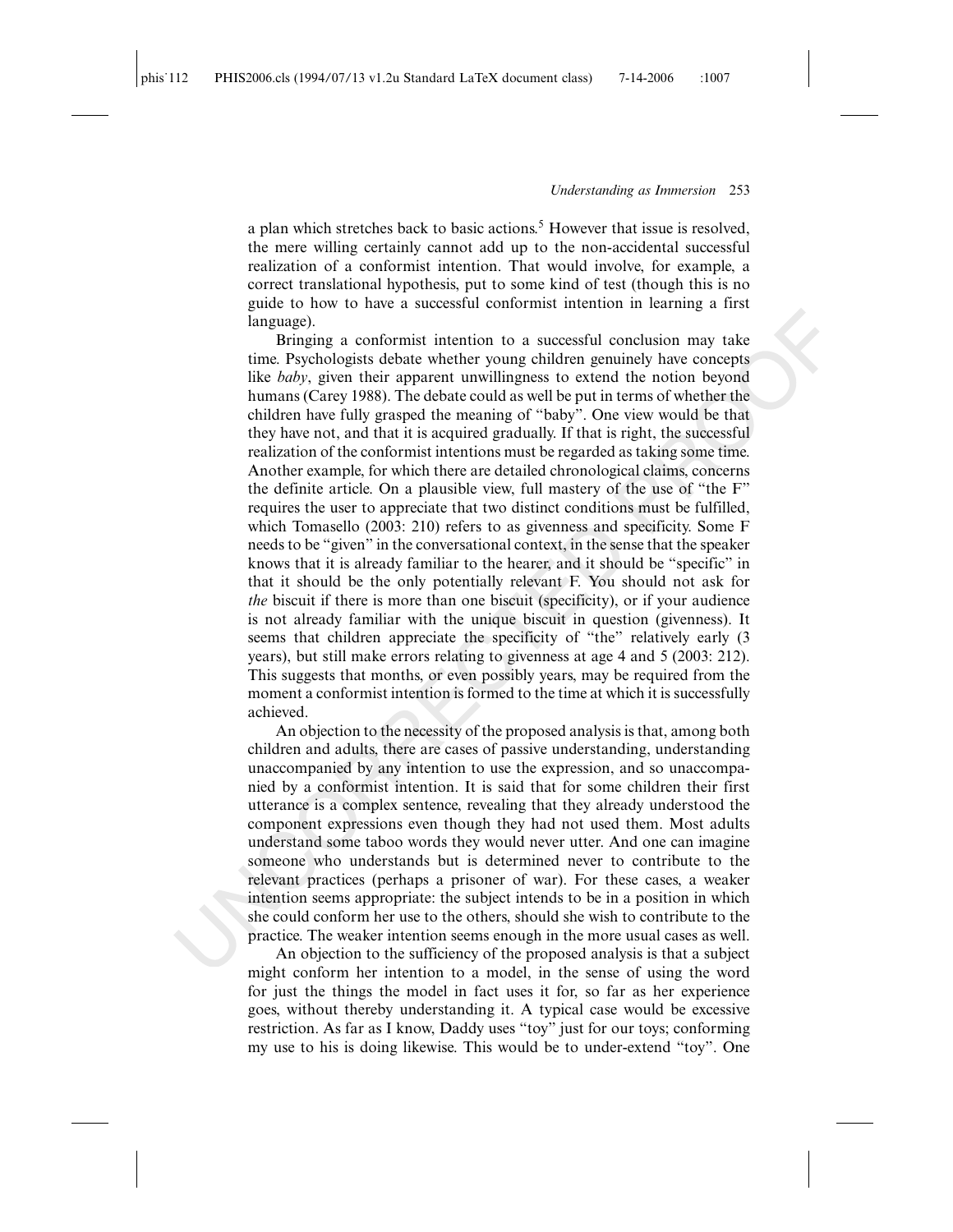a plan which stretches back to basic actions.<sup>5</sup> However that issue is resolved, the mere willing certainly cannot add up to the non-accidental successful realization of a conformist intention. That would involve, for example, a correct translational hypothesis, put to some kind of test (though this is no guide to how to have a successful conformist intention in learning a first language).

Bringing a conformist intention to a successful conclusion may take time. Psychologists debate whether young children genuinely have concepts like *baby*, given their apparent unwillingness to extend the notion beyond humans (Carey 1988). The debate could as well be put in terms of whether the children have fully grasped the meaning of "baby". One view would be that they have not, and that it is acquired gradually. If that is right, the successful realization of the conformist intentions must be regarded as taking some time. Another example, for which there are detailed chronological claims, concerns the definite article. On a plausible view, full mastery of the use of "the F" requires the user to appreciate that two distinct conditions must be fulfilled, which Tomasello (2003: 210) refers to as givenness and specificity. Some F needs to be "given" in the conversational context, in the sense that the speaker knows that it is already familiar to the hearer, and it should be "specific" in that it should be the only potentially relevant F. You should not ask for *the* biscuit if there is more than one biscuit (specificity), or if your audience is not already familiar with the unique biscuit in question (givenness). It seems that children appreciate the specificity of "the" relatively early (3) years), but still make errors relating to givenness at age 4 and 5 (2003: 212). This suggests that months, or even possibly years, may be required from the moment a conformist intention is formed to the time at which it is successfully achieved.

An objection to the necessity of the proposed analysis is that, among both children and adults, there are cases of passive understanding, understanding unaccompanied by any intention to use the expression, and so unaccompanied by a conformist intention. It is said that for some children their first utterance is a complex sentence, revealing that they already understood the component expressions even though they had not used them. Most adults understand some taboo words they would never utter. And one can imagine someone who understands but is determined never to contribute to the relevant practices (perhaps a prisoner of war). For these cases, a weaker intention seems appropriate: the subject intends to be in a position in which she could conform her use to the others, should she wish to contribute to the practice. The weaker intention seems enough in the more usual cases as well.

An objection to the sufficiency of the proposed analysis is that a subject might conform her intention to a model, in the sense of using the word for just the things the model in fact uses it for, so far as her experience goes, without thereby understanding it. A typical case would be excessive restriction. As far as I know, Daddy uses "toy" just for our toys; conforming my use to his is doing likewise. This would be to under-extend "toy". One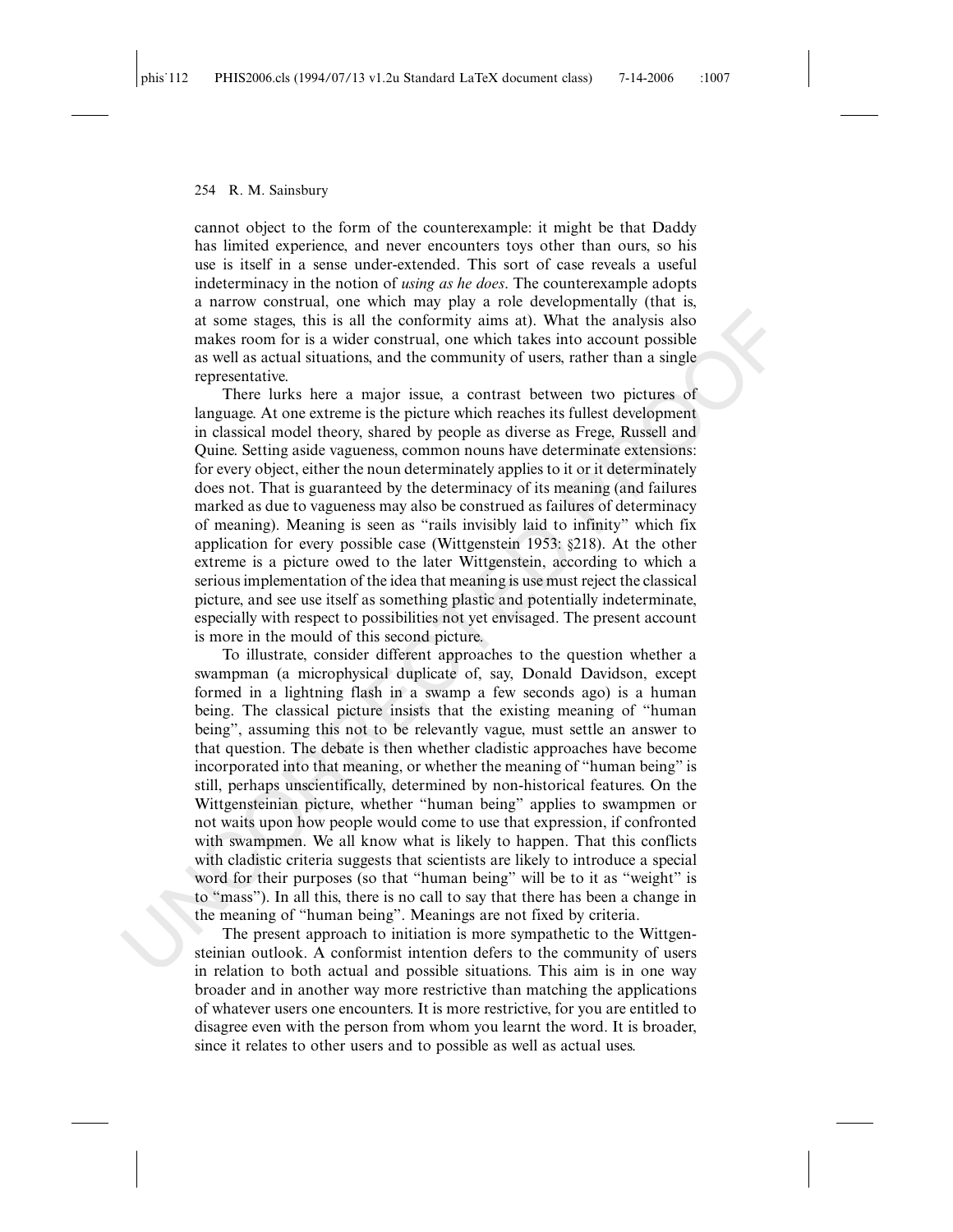cannot object to the form of the counterexample: it might be that Daddy has limited experience, and never encounters toys other than ours, so his use is itself in a sense under-extended. This sort of case reveals a useful indeterminacy in the notion of *using as he does*. The counterexample adopts a narrow construal, one which may play a role developmentally (that is, at some stages, this is all the conformity aims at). What the analysis also makes room for is a wider construal, one which takes into account possible as well as actual situations, and the community of users, rather than a single representative.

There lurks here a major issue, a contrast between two pictures of language. At one extreme is the picture which reaches its fullest development in classical model theory, shared by people as diverse as Frege, Russell and Quine. Setting aside vagueness, common nouns have determinate extensions: for every object, either the noun determinately applies to it or it determinately does not. That is guaranteed by the determinacy of its meaning (and failures marked as due to vagueness may also be construed as failures of determinacy of meaning). Meaning is seen as "rails invisibly laid to infinity" which fix application for every possible case (Wittgenstein 1953: §218). At the other extreme is a picture owed to the later Wittgenstein, according to which a serious implementation of the idea that meaning is use must reject the classical picture, and see use itself as something plastic and potentially indeterminate, especially with respect to possibilities not yet envisaged. The present account is more in the mould of this second picture.

To illustrate, consider different approaches to the question whether a swampman (a microphysical duplicate of, say, Donald Davidson, except formed in a lightning flash in a swamp a few seconds ago) is a human being. The classical picture insists that the existing meaning of "human being", assuming this not to be relevantly vague, must settle an answer to that question. The debate is then whether cladistic approaches have become incorporated into that meaning, or whether the meaning of "human being" is still, perhaps unscientifically, determined by non-historical features. On the Wittgensteinian picture, whether "human being" applies to swampmen or not waits upon how people would come to use that expression, if confronted with swampmen. We all know what is likely to happen. That this conflicts with cladistic criteria suggests that scientists are likely to introduce a special word for their purposes (so that "human being" will be to it as "weight" is to "mass"). In all this, there is no call to say that there has been a change in the meaning of "human being". Meanings are not fixed by criteria.

The present approach to initiation is more sympathetic to the Wittgensteinian outlook. A conformist intention defers to the community of users in relation to both actual and possible situations. This aim is in one way broader and in another way more restrictive than matching the applications of whatever users one encounters. It is more restrictive, for you are entitled to disagree even with the person from whom you learnt the word. It is broader, since it relates to other users and to possible as well as actual uses.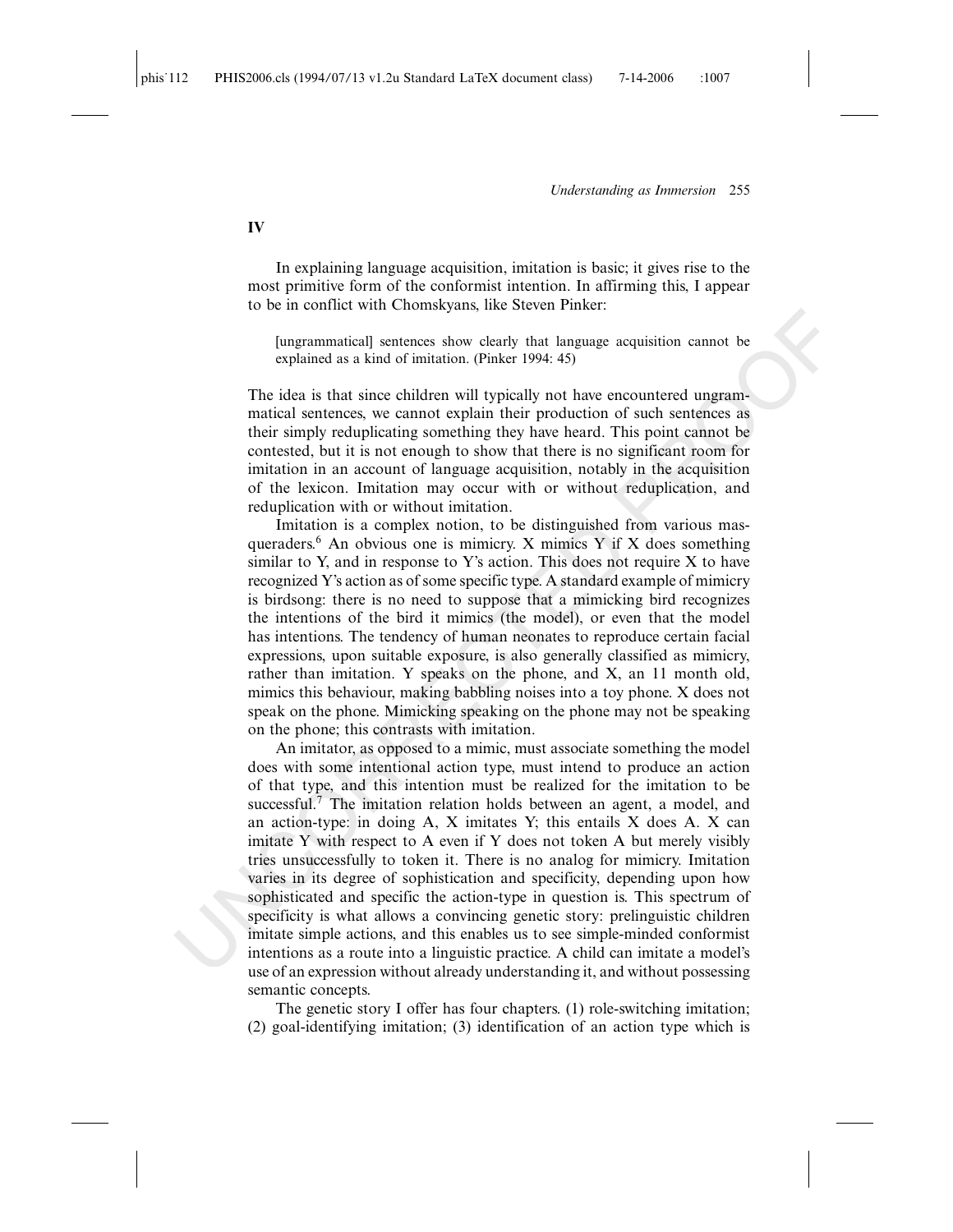In explaining language acquisition, imitation is basic; it gives rise to the most primitive form of the conformist intention. In affirming this, I appear to be in conflict with Chomskyans, like Steven Pinker:

[ungrammatical] sentences show clearly that language acquisition cannot be explained as a kind of imitation. (Pinker 1994: 45)

The idea is that since children will typically not have encountered ungrammatical sentences, we cannot explain their production of such sentences as their simply reduplicating something they have heard. This point cannot be contested, but it is not enough to show that there is no significant room for imitation in an account of language acquisition, notably in the acquisition of the lexicon. Imitation may occur with or without reduplication, and reduplication with or without imitation.

Imitation is a complex notion, to be distinguished from various masqueraders.<sup>6</sup> An obvious one is mimicry. X mimics Y if X does something similar to Y, and in response to Y's action. This does not require  $X$  to have recognized Y's action as of some specific type. A standard example of mimicry is birdsong: there is no need to suppose that a mimicking bird recognizes the intentions of the bird it mimics (the model), or even that the model has intentions. The tendency of human neonates to reproduce certain facial expressions, upon suitable exposure, is also generally classified as mimicry, rather than imitation. Y speaks on the phone, and X, an 11 month old, mimics this behaviour, making babbling noises into a toy phone. X does not speak on the phone. Mimicking speaking on the phone may not be speaking on the phone; this contrasts with imitation.

An imitator, as opposed to a mimic, must associate something the model does with some intentional action type, must intend to produce an action of that type, and this intention must be realized for the imitation to be successful.<sup>7</sup> The imitation relation holds between an agent, a model, and an action-type: in doing A, X imitates Y; this entails X does A. X can imitate Y with respect to A even if Y does not token A but merely visibly tries unsuccessfully to token it. There is no analog for mimicry. Imitation varies in its degree of sophistication and specificity, depending upon how sophisticated and specific the action-type in question is. This spectrum of specificity is what allows a convincing genetic story: prelinguistic children imitate simple actions, and this enables us to see simple-minded conformist intentions as a route into a linguistic practice. A child can imitate a model's use of an expression without already understanding it, and without possessing semantic concepts.

The genetic story I offer has four chapters. (1) role-switching imitation; (2) goal-identifying imitation; (3) identification of an action type which is

**IV**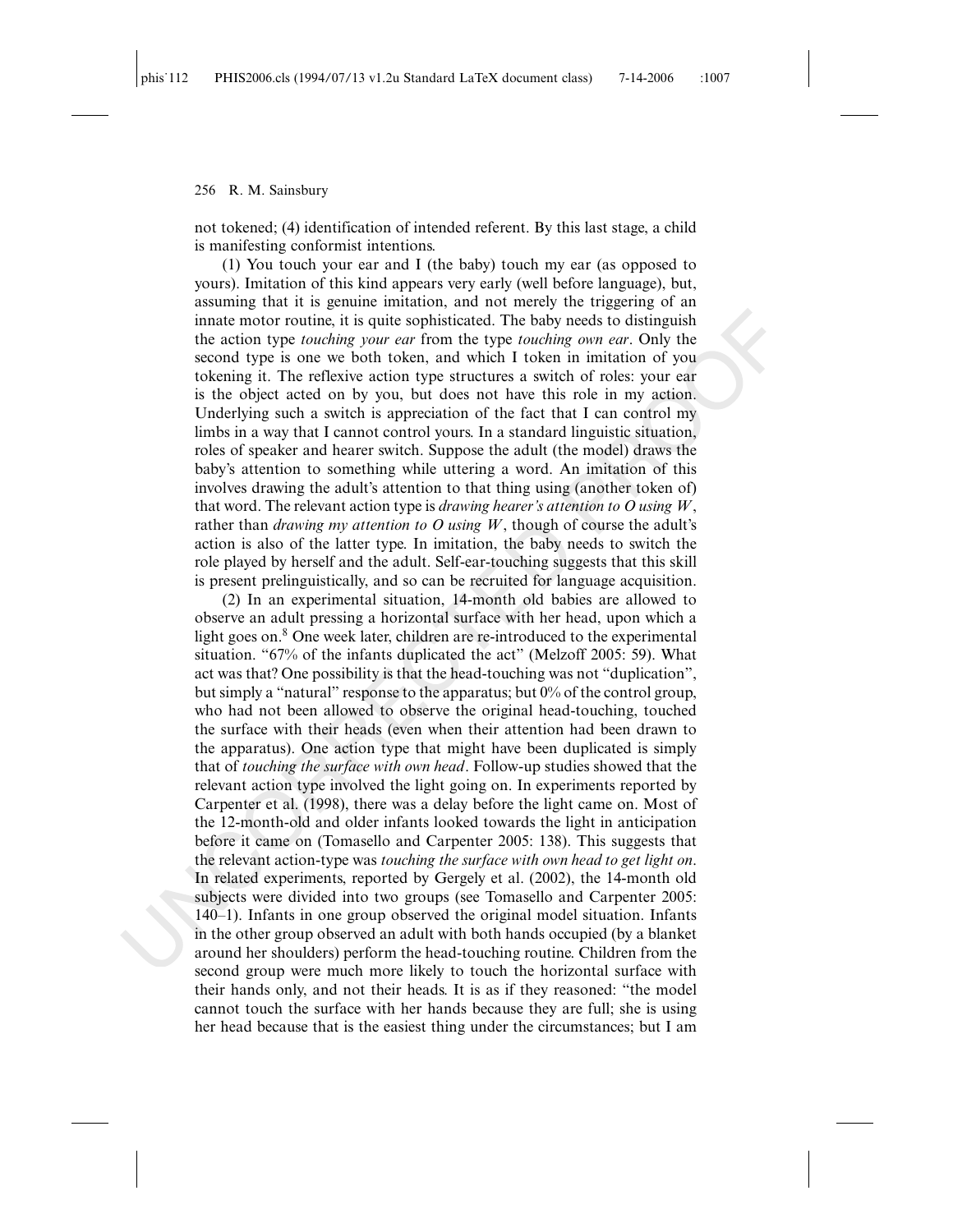not tokened; (4) identification of intended referent. By this last stage, a child is manifesting conformist intentions.

(1) You touch your ear and I (the baby) touch my ear (as opposed to yours). Imitation of this kind appears very early (well before language), but, assuming that it is genuine imitation, and not merely the triggering of an innate motor routine, it is quite sophisticated. The baby needs to distinguish the action type *touching your ear* from the type *touching own ear*. Only the second type is one we both token, and which I token in imitation of you tokening it. The reflexive action type structures a switch of roles: your ear is the object acted on by you, but does not have this role in my action. Underlying such a switch is appreciation of the fact that I can control my limbs in a way that I cannot control yours. In a standard linguistic situation, roles of speaker and hearer switch. Suppose the adult (the model) draws the baby's attention to something while uttering a word. An imitation of this involves drawing the adult's attention to that thing using (another token of) that word. The relevant action type is *drawing hearer's attention to O using W*, rather than *drawing my attention to O using W*, though of course the adult's action is also of the latter type. In imitation, the baby needs to switch the role played by herself and the adult. Self-ear-touching suggests that this skill is present prelinguistically, and so can be recruited for language acquisition.

(2) In an experimental situation, 14-month old babies are allowed to observe an adult pressing a horizontal surface with her head, upon which a light goes on.<sup>8</sup> One week later, children are re-introduced to the experimental situation. "67% of the infants duplicated the act" (Melzoff 2005: 59). What act was that? One possibility is that the head-touching was not "duplication", but simply a "natural" response to the apparatus; but 0% of the control group, who had not been allowed to observe the original head-touching, touched the surface with their heads (even when their attention had been drawn to the apparatus). One action type that might have been duplicated is simply that of *touching the surface with own head*. Follow-up studies showed that the relevant action type involved the light going on. In experiments reported by Carpenter et al. (1998), there was a delay before the light came on. Most of the 12-month-old and older infants looked towards the light in anticipation before it came on (Tomasello and Carpenter 2005: 138). This suggests that the relevant action-type was *touching the surface with own head to get light on*. In related experiments, reported by Gergely et al. (2002), the 14-month old subjects were divided into two groups (see Tomasello and Carpenter 2005: 140–1). Infants in one group observed the original model situation. Infants in the other group observed an adult with both hands occupied (by a blanket around her shoulders) perform the head-touching routine. Children from the second group were much more likely to touch the horizontal surface with their hands only, and not their heads. It is as if they reasoned: "the model cannot touch the surface with her hands because they are full; she is using her head because that is the easiest thing under the circumstances; but I am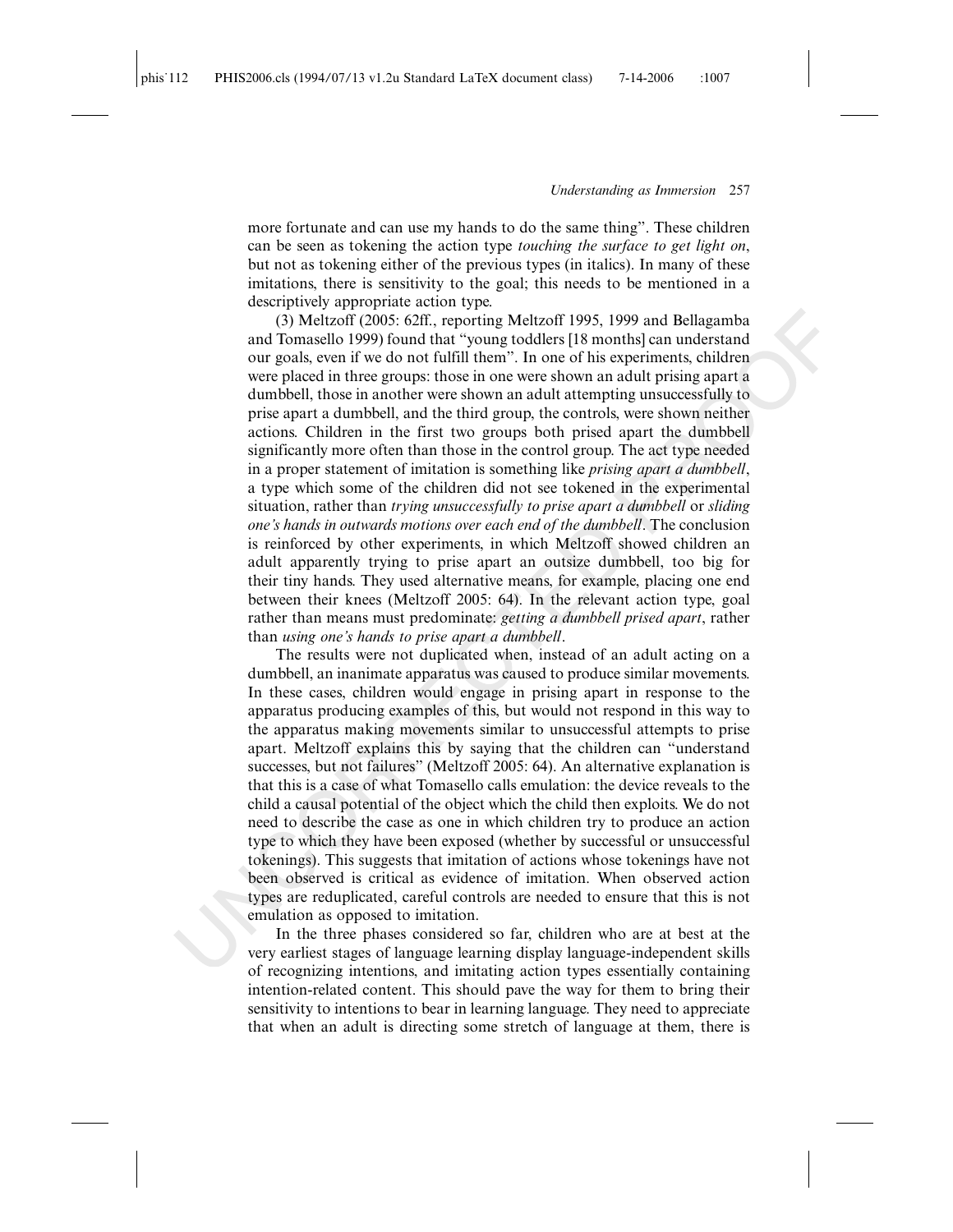more fortunate and can use my hands to do the same thing". These children can be seen as tokening the action type *touching the surface to get light on*, but not as tokening either of the previous types (in italics). In many of these imitations, there is sensitivity to the goal; this needs to be mentioned in a descriptively appropriate action type.

(3) Meltzoff (2005: 62ff., reporting Meltzoff 1995, 1999 and Bellagamba and Tomasello 1999) found that "young toddlers [18 months] can understand our goals, even if we do not fulfill them". In one of his experiments, children were placed in three groups: those in one were shown an adult prising apart a dumbbell, those in another were shown an adult attempting unsuccessfully to prise apart a dumbbell, and the third group, the controls, were shown neither actions. Children in the first two groups both prised apart the dumbbell significantly more often than those in the control group. The act type needed in a proper statement of imitation is something like *prising apart a dumbbell*, a type which some of the children did not see tokened in the experimental situation, rather than *trying unsuccessfully to prise apart a dumbbell* or *sliding one's hands in outwards motions over each end of the dumbbell*. The conclusion is reinforced by other experiments, in which Meltzoff showed children an adult apparently trying to prise apart an outsize dumbbell, too big for their tiny hands. They used alternative means, for example, placing one end between their knees (Meltzoff 2005: 64). In the relevant action type, goal rather than means must predominate: *getting a dumbbell prised apart*, rather than *using one's hands to prise apart a dumbbell*.

The results were not duplicated when, instead of an adult acting on a dumbbell, an inanimate apparatus was caused to produce similar movements. In these cases, children would engage in prising apart in response to the apparatus producing examples of this, but would not respond in this way to the apparatus making movements similar to unsuccessful attempts to prise apart. Meltzoff explains this by saying that the children can "understand successes, but not failures" (Meltzoff 2005: 64). An alternative explanation is that this is a case of what Tomasello calls emulation: the device reveals to the child a causal potential of the object which the child then exploits. We do not need to describe the case as one in which children try to produce an action type to which they have been exposed (whether by successful or unsuccessful tokenings). This suggests that imitation of actions whose tokenings have not been observed is critical as evidence of imitation. When observed action types are reduplicated, careful controls are needed to ensure that this is not emulation as opposed to imitation.

In the three phases considered so far, children who are at best at the very earliest stages of language learning display language-independent skills of recognizing intentions, and imitating action types essentially containing intention-related content. This should pave the way for them to bring their sensitivity to intentions to bear in learning language. They need to appreciate that when an adult is directing some stretch of language at them, there is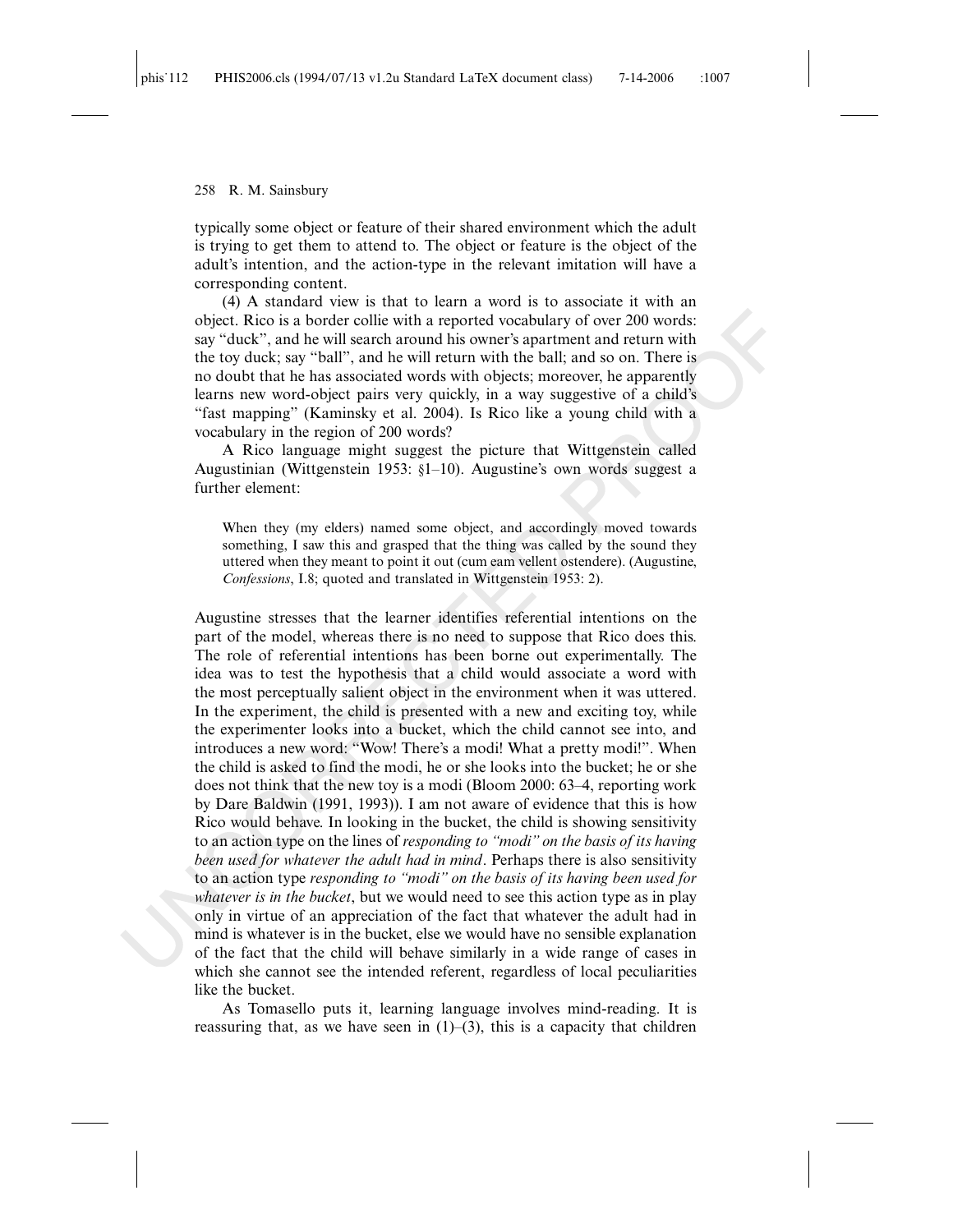typically some object or feature of their shared environment which the adult is trying to get them to attend to. The object or feature is the object of the adult's intention, and the action-type in the relevant imitation will have a corresponding content.

(4) A standard view is that to learn a word is to associate it with an object. Rico is a border collie with a reported vocabulary of over 200 words: say "duck", and he will search around his owner's apartment and return with the toy duck; say "ball", and he will return with the ball; and so on. There is no doubt that he has associated words with objects; moreover, he apparently learns new word-object pairs very quickly, in a way suggestive of a child's "fast mapping" (Kaminsky et al. 2004). Is Rico like a young child with a vocabulary in the region of 200 words?

A Rico language might suggest the picture that Wittgenstein called Augustinian (Wittgenstein 1953: §1–10). Augustine's own words suggest a further element:

When they (my elders) named some object, and accordingly moved towards something, I saw this and grasped that the thing was called by the sound they uttered when they meant to point it out (cum eam vellent ostendere). (Augustine, *Confessions*, I.8; quoted and translated in Wittgenstein 1953: 2).

Augustine stresses that the learner identifies referential intentions on the part of the model, whereas there is no need to suppose that Rico does this. The role of referential intentions has been borne out experimentally. The idea was to test the hypothesis that a child would associate a word with the most perceptually salient object in the environment when it was uttered. In the experiment, the child is presented with a new and exciting toy, while the experimenter looks into a bucket, which the child cannot see into, and introduces a new word: "Wow! There's a modi! What a pretty modi!". When the child is asked to find the modi, he or she looks into the bucket; he or she does not think that the new toy is a modi (Bloom 2000: 63–4, reporting work by Dare Baldwin (1991, 1993)). I am not aware of evidence that this is how Rico would behave. In looking in the bucket, the child is showing sensitivity to an action type on the lines of *responding to "modi" on the basis of its having been used for whatever the adult had in mind*. Perhaps there is also sensitivity to an action type *responding to "modi" on the basis of its having been used for whatever is in the bucket*, but we would need to see this action type as in play only in virtue of an appreciation of the fact that whatever the adult had in mind is whatever is in the bucket, else we would have no sensible explanation of the fact that the child will behave similarly in a wide range of cases in which she cannot see the intended referent, regardless of local peculiarities like the bucket.

As Tomasello puts it, learning language involves mind-reading. It is reassuring that, as we have seen in  $(1)$ – $(3)$ , this is a capacity that children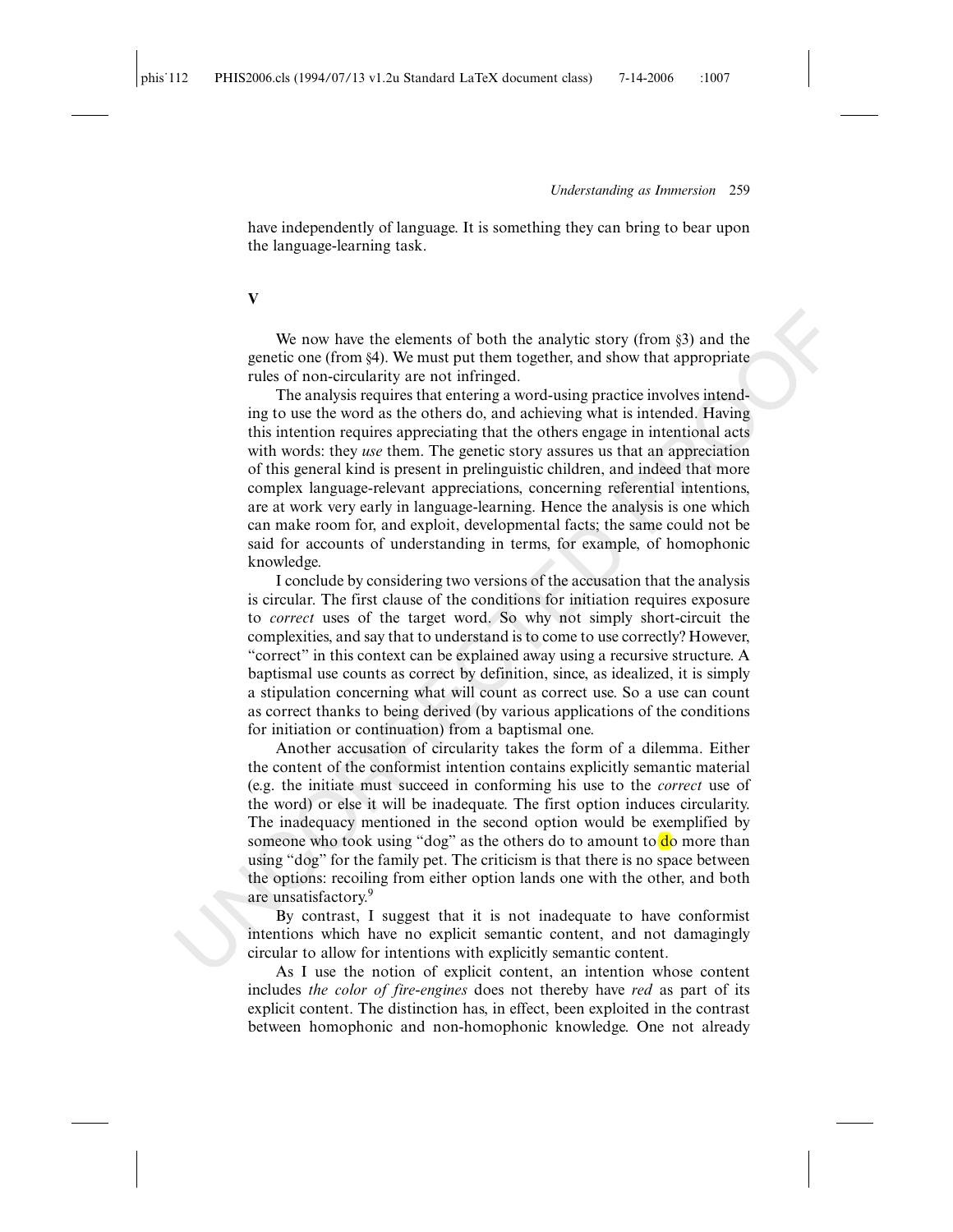have independently of language. It is something they can bring to bear upon the language-learning task.

**V**

We now have the elements of both the analytic story (from §3) and the genetic one (from §4). We must put them together, and show that appropriate rules of non-circularity are not infringed.

The analysis requires that entering a word-using practice involves intending to use the word as the others do, and achieving what is intended. Having this intention requires appreciating that the others engage in intentional acts with words: they *use* them. The genetic story assures us that an appreciation of this general kind is present in prelinguistic children, and indeed that more complex language-relevant appreciations, concerning referential intentions, are at work very early in language-learning. Hence the analysis is one which can make room for, and exploit, developmental facts; the same could not be said for accounts of understanding in terms, for example, of homophonic knowledge.

I conclude by considering two versions of the accusation that the analysis is circular. The first clause of the conditions for initiation requires exposure to *correct* uses of the target word. So why not simply short-circuit the complexities, and say that to understand is to come to use correctly? However, "correct" in this context can be explained away using a recursive structure. A baptismal use counts as correct by definition, since, as idealized, it is simply a stipulation concerning what will count as correct use. So a use can count as correct thanks to being derived (by various applications of the conditions for initiation or continuation) from a baptismal one.

Another accusation of circularity takes the form of a dilemma. Either the content of the conformist intention contains explicitly semantic material (e.g. the initiate must succeed in conforming his use to the *correct* use of the word) or else it will be inadequate. The first option induces circularity. The inadequacy mentioned in the second option would be exemplified by someone who took using "dog" as the others do to amount to  $\bf{d}$  more than using "dog" for the family pet. The criticism is that there is no space between the options: recoiling from either option lands one with the other, and both are unsatisfactory.<sup>9</sup>

By contrast, I suggest that it is not inadequate to have conformist intentions which have no explicit semantic content, and not damagingly circular to allow for intentions with explicitly semantic content.

As I use the notion of explicit content, an intention whose content includes *the color of fire-engines* does not thereby have *red* as part of its explicit content. The distinction has, in effect, been exploited in the contrast between homophonic and non-homophonic knowledge. One not already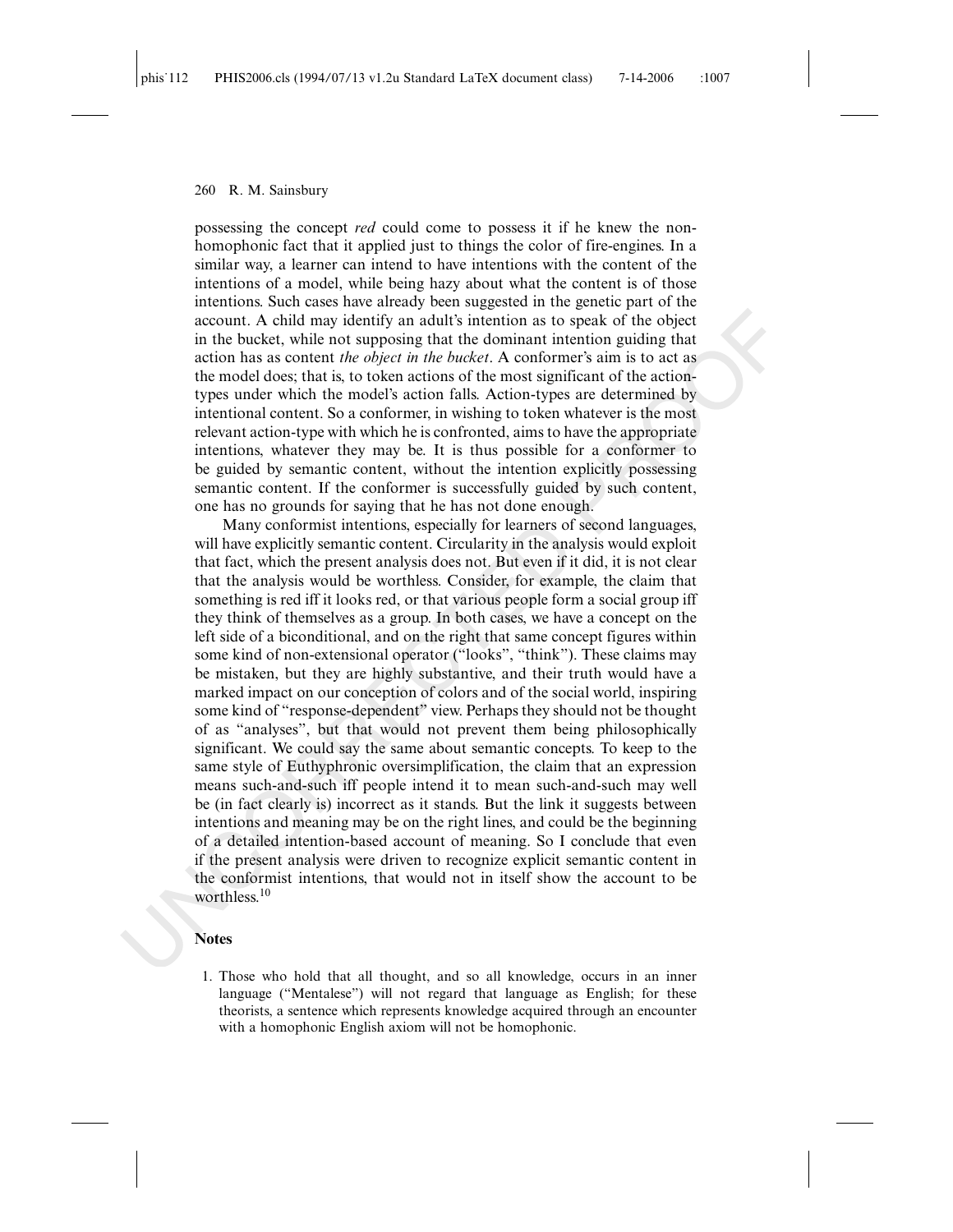possessing the concept *red* could come to possess it if he knew the nonhomophonic fact that it applied just to things the color of fire-engines. In a similar way, a learner can intend to have intentions with the content of the intentions of a model, while being hazy about what the content is of those intentions. Such cases have already been suggested in the genetic part of the account. A child may identify an adult's intention as to speak of the object in the bucket, while not supposing that the dominant intention guiding that action has as content *the object in the bucket*. A conformer's aim is to act as the model does; that is, to token actions of the most significant of the actiontypes under which the model's action falls. Action-types are determined by intentional content. So a conformer, in wishing to token whatever is the most relevant action-type with which he is confronted, aims to have the appropriate intentions, whatever they may be. It is thus possible for a conformer to be guided by semantic content, without the intention explicitly possessing semantic content. If the conformer is successfully guided by such content, one has no grounds for saying that he has not done enough.

Many conformist intentions, especially for learners of second languages, will have explicitly semantic content. Circularity in the analysis would exploit that fact, which the present analysis does not. But even if it did, it is not clear that the analysis would be worthless. Consider, for example, the claim that something is red iff it looks red, or that various people form a social group iff they think of themselves as a group. In both cases, we have a concept on the left side of a biconditional, and on the right that same concept figures within some kind of non-extensional operator ("looks", "think"). These claims may be mistaken, but they are highly substantive, and their truth would have a marked impact on our conception of colors and of the social world, inspiring some kind of "response-dependent" view. Perhaps they should not be thought of as "analyses", but that would not prevent them being philosophically significant. We could say the same about semantic concepts. To keep to the same style of Euthyphronic oversimplification, the claim that an expression means such-and-such iff people intend it to mean such-and-such may well be (in fact clearly is) incorrect as it stands. But the link it suggests between intentions and meaning may be on the right lines, and could be the beginning of a detailed intention-based account of meaning. So I conclude that even if the present analysis were driven to recognize explicit semantic content in the conformist intentions, that would not in itself show the account to be worthless.<sup>10</sup>

### **Notes**

1. Those who hold that all thought, and so all knowledge, occurs in an inner language ("Mentalese") will not regard that language as English; for these theorists, a sentence which represents knowledge acquired through an encounter with a homophonic English axiom will not be homophonic.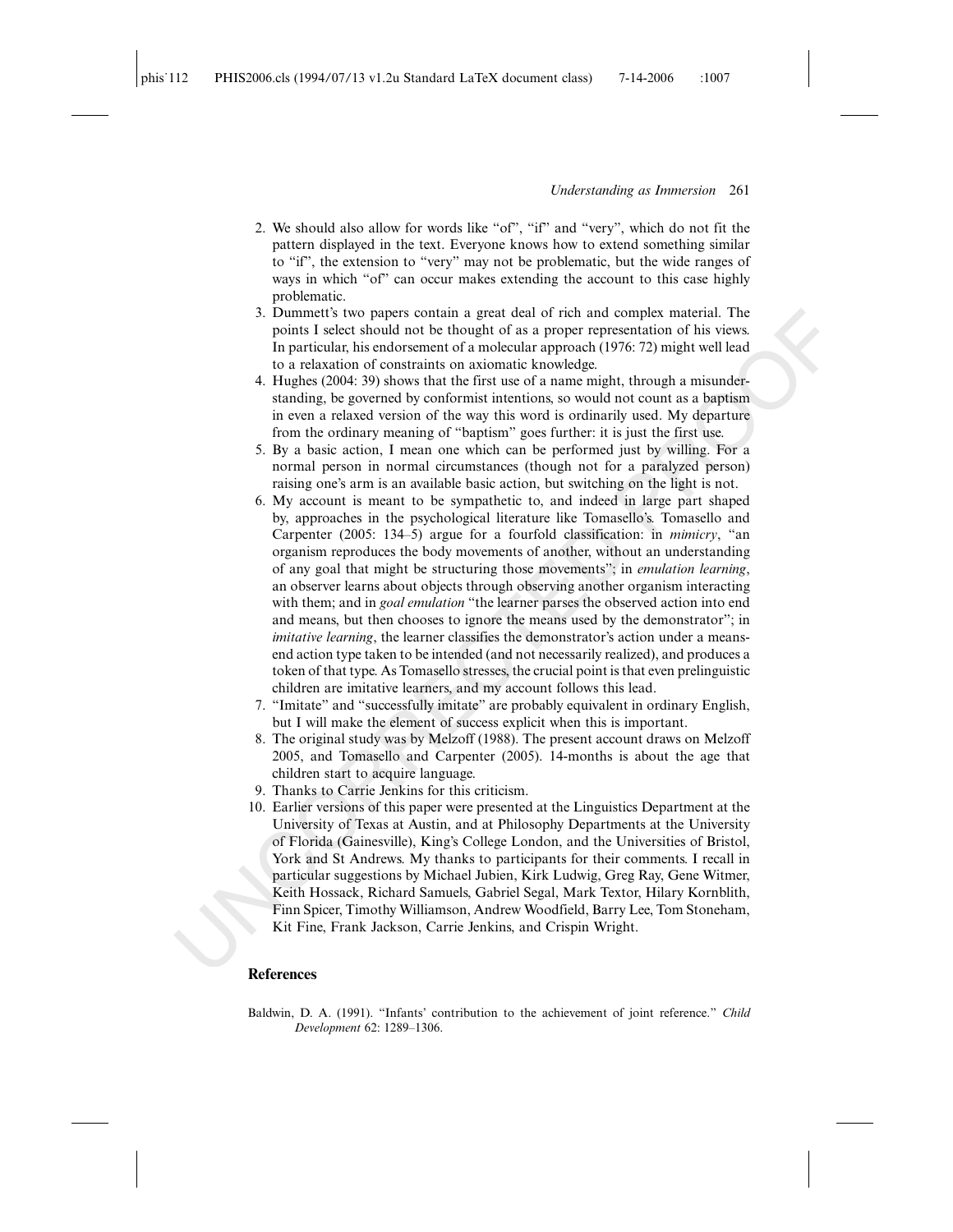- 2. We should also allow for words like "of", "if" and "very", which do not fit the pattern displayed in the text. Everyone knows how to extend something similar to "if", the extension to "very" may not be problematic, but the wide ranges of ways in which "of" can occur makes extending the account to this case highly problematic.
- 3. Dummett's two papers contain a great deal of rich and complex material. The points I select should not be thought of as a proper representation of his views. In particular, his endorsement of a molecular approach (1976: 72) might well lead to a relaxation of constraints on axiomatic knowledge.
- 4. Hughes (2004: 39) shows that the first use of a name might, through a misunderstanding, be governed by conformist intentions, so would not count as a baptism in even a relaxed version of the way this word is ordinarily used. My departure from the ordinary meaning of "baptism" goes further: it is just the first use.
- 5. By a basic action, I mean one which can be performed just by willing. For a normal person in normal circumstances (though not for a paralyzed person) raising one's arm is an available basic action, but switching on the light is not.
- 6. My account is meant to be sympathetic to, and indeed in large part shaped by, approaches in the psychological literature like Tomasello's. Tomasello and Carpenter (2005: 134–5) argue for a fourfold classification: in *mimicry*, "an organism reproduces the body movements of another, without an understanding of any goal that might be structuring those movements"; in *emulation learning*, an observer learns about objects through observing another organism interacting with them; and in *goal emulation* "the learner parses the observed action into end and means, but then chooses to ignore the means used by the demonstrator"; in *imitative learning*, the learner classifies the demonstrator's action under a meansend action type taken to be intended (and not necessarily realized), and produces a token of that type. As Tomasello stresses, the crucial point is that even prelinguistic children are imitative learners, and my account follows this lead.
- 7. "Imitate" and "successfully imitate" are probably equivalent in ordinary English, but I will make the element of success explicit when this is important.
- 8. The original study was by Melzoff (1988). The present account draws on Melzoff 2005, and Tomasello and Carpenter (2005). 14-months is about the age that children start to acquire language.
- 9. Thanks to Carrie Jenkins for this criticism.
- 10. Earlier versions of this paper were presented at the Linguistics Department at the University of Texas at Austin, and at Philosophy Departments at the University of Florida (Gainesville), King's College London, and the Universities of Bristol, York and St Andrews. My thanks to participants for their comments. I recall in particular suggestions by Michael Jubien, Kirk Ludwig, Greg Ray, Gene Witmer, Keith Hossack, Richard Samuels, Gabriel Segal, Mark Textor, Hilary Kornblith, Finn Spicer, Timothy Williamson, Andrew Woodfield, Barry Lee, Tom Stoneham, Kit Fine, Frank Jackson, Carrie Jenkins, and Crispin Wright.

### **References**

Baldwin, D. A. (1991). "Infants' contribution to the achievement of joint reference." *Child Development* 62: 1289–1306.